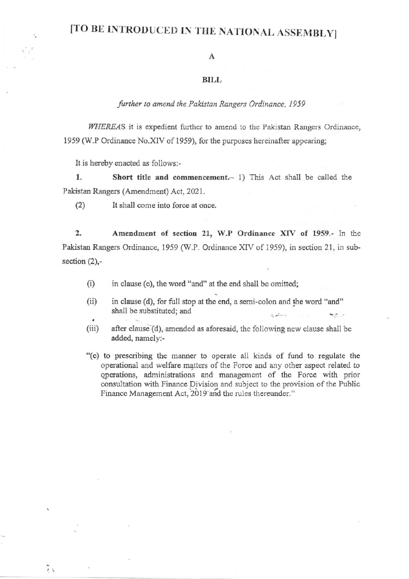# [TO BE INTRODUCED IN THE NATIONAL ASSEMBLY]

### A

#### **BILL**

## further to amend the Pakistan Rangers Ordinance, 1959

WHEREAS it is expedient further to amend to the Pakistan Rangers Ordinance, 1959 (W.P Ordinance No.XIV of 1959), for the purposes hereinafter appearing;

It is hereby enacted as follows:-

1. Short title and commencement.- 1) This Act shall be called the Pakistan Rangers (Amendment) Act, 2021.

(2) It shall come into force at once.

2. Amendment of section 21, W.P Ordinance XIV of 1959.- In the Pakistan Rangers Ordinance, 1959 (W.P. Ordinance XIV of 1959), in section 21, in subsection (2),-

- (i) in clause (c), the word "and" at the end shall be omitted;
- (ii) in clause (d), for full stop at the end, a semi-colon and the word "and" shall be substituted; and
- (iii) after clause  $(d)$ , amended as aforesaid, the following new clause shall be added, namely:-
- "(e) to prescribing the manner to operate all kinds of fund to regulate the operational and welfare matters of the Force and any other aspect related to qperations, administrations and management of the Force with prior consultation with Finance Division and subject to the provision of the Public Finance Management Act, 2019 and the rules thereunder."

 $\tilde{i}$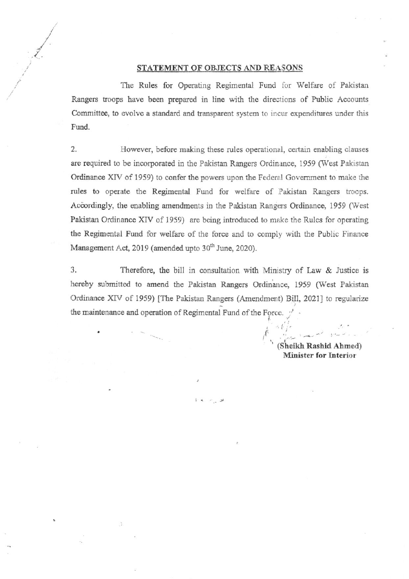#### STATEMENT OF OBJECTS AND REASONS

The Rules for Operating Regimental Fund for Welfare of Pakistan Rangers troops have been prepared in line with the directions of Public Accounts Committee, to evolve a standard and transparent system to incur expenditures under this Fund.

2. However, before making these rules operational, certain enabling clauses are required to be incorporated in the Pakistan Rangers Ordinance, 1959 (West Pakistan Ordinance XIV of 1959) to confer the powers upon the Federal Government to make the rules to operate the Regimental Fund for welfare of Pakistan Rangers troops. Accordingly, the enabling amendments in the Pakistan Rangers Ordinance, 1959 (West Pakistan Ordinance XIV of 1959) are being introduced to make the Rules for operating the Regimental Fund for welfare of the force and to comply with the Public Finance Management Act, 2019 (amended upto 30<sup>th</sup> June, 2020).

3. Therefore, the bill in consultation with Ministry of Law  $&$  Justice is hereby submitted to amend the Pakistan Rangers Ordinance, 1959 (West Pakistan Ordinance XIV of 1959) [The Pakistan Rangers (Amendment) Bill, 2021] to regularize the maintenance and operation of Regimental Fund of the Force.  $\frac{1}{2}$ 

> (Sheikh Rashid Ahmed) Minister for Interior

.  $t_{T}^{\prime}$ 

I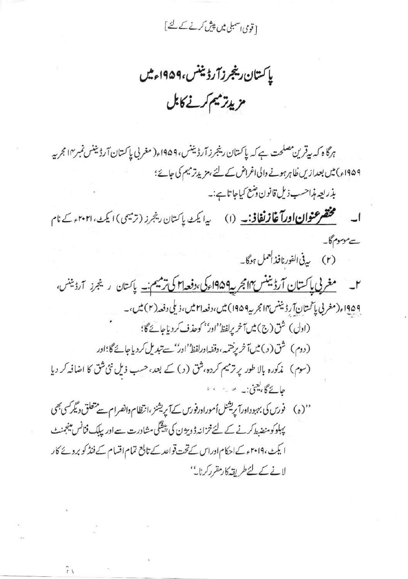[ قومی <sub>ا</sub>سمبلی میں پیش کرنے کے لئے ]

پاکستان رینجرزآ رڈیننس،۱۹۵۹ءمیں مزيدتر ميم كرنے كابل

ہرگا ہ کہ بیقرین مصلحت ہے کہ پاکستان رینجرز آرڈیننس، ۱۹۵۹ء( مغربی پاکستان آرڈیننس نمبر۱۴ مجربہ ۱۹۵۹ء) میں بعدازیں ظاہرہونے والی اغراض کے لئے ، مزید زمیم کی جائے؛

بذريعه مذاحسب ذيل قانون دشع كياجا تاہے:۔

مختصر عنوان اورآغازنغافی به (۱) میلیک پاکستان ریجرز (ترمیمی) ایک ۲۰۲۰ و کے نام ات سے موسوم گا۔

(۲) په في الفورنافذ العمل ہوگا۔

9۵۹اء(مغربی پاتمتانآر ڈیننس۱۴ مجربہ۱۹۵۹) میں،دفعہ ۲۱ میں،زیلی دفعہ(۲) میں،۔ (اول) شق (ج) مين آخر يرلفظ' اور'' كوحذف كردياجاتكا)؛ (دوم) شق( د ) میں آخر پرختمہ ،وقفہاورلفظ''ادر''سے تبدیل کردیاجائے گا؛اور (سوم) مذكورہ بالا طور پر ترميم كردہ، شق (ر) كے بعد، حسب ذيل نئى شق كا اضافہ كر ديا حائے گا، یعنی:۔ سریہ میں 

پہلوکومنضبط کرنے کے لئے خزانہ ڈویژن کی پیشگی مشاورت سے اور یپلک فنانس مینجنٹ ا یکٹ، ۲۰۱۹ءکے احکام ادراس کےتخت قواعد کے تابع تمام اقسام کے فنڈ کو بروپے کار لانے کے لئے طریقہ کارمقرر کرنا۔''

 $\tilde{r}$